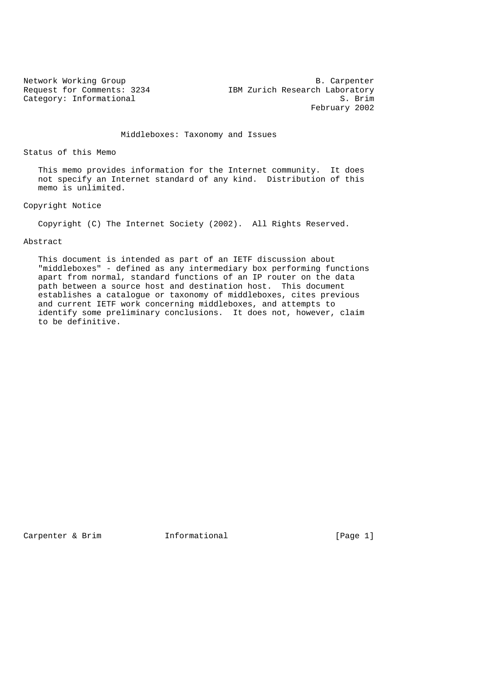Network Working Group B. Carpenter Request for Comments: 3234 IBM Zurich Research Laboratory Category: Informational S. Brim February 2002

Middleboxes: Taxonomy and Issues

Status of this Memo

 This memo provides information for the Internet community. It does not specify an Internet standard of any kind. Distribution of this memo is unlimited.

Copyright Notice

Copyright (C) The Internet Society (2002). All Rights Reserved.

# Abstract

 This document is intended as part of an IETF discussion about "middleboxes" - defined as any intermediary box performing functions apart from normal, standard functions of an IP router on the data path between a source host and destination host. This document establishes a catalogue or taxonomy of middleboxes, cites previous and current IETF work concerning middleboxes, and attempts to identify some preliminary conclusions. It does not, however, claim to be definitive.

Carpenter & Brim **Informational** [Page 1]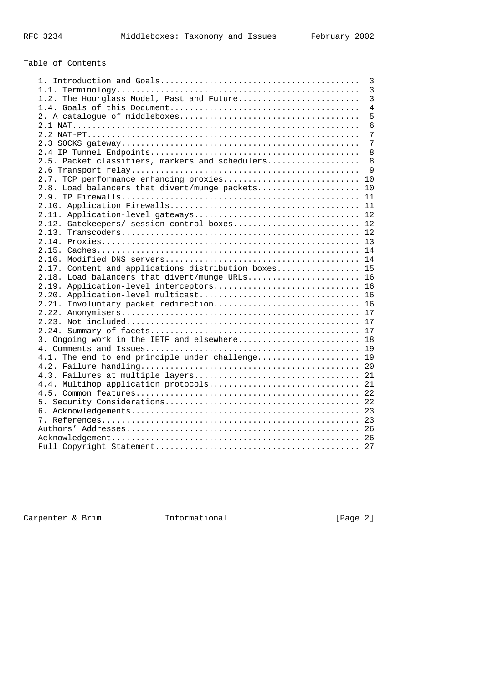# Table of Contents

|                                                      | 3               |
|------------------------------------------------------|-----------------|
|                                                      | 3               |
| 1.2. The Hourglass Model, Past and Future            | $\overline{3}$  |
|                                                      | $\overline{4}$  |
|                                                      | 5               |
|                                                      | $6\overline{6}$ |
|                                                      | 7               |
|                                                      | $\overline{7}$  |
|                                                      | 8               |
| 2.5. Packet classifiers, markers and schedulers      | 8               |
|                                                      | $\mathsf{Q}$    |
| 2.7. TCP performance enhancing proxies 10            |                 |
| 2.8. Load balancers that divert/munge packets        | 10              |
|                                                      |                 |
|                                                      |                 |
|                                                      |                 |
| 2.12. Gatekeepers/ session control boxes 12          |                 |
|                                                      |                 |
|                                                      |                 |
|                                                      |                 |
|                                                      |                 |
| 2.17. Content and applications distribution boxes 15 |                 |
| 2.18. Load balancers that divert/munge URLs 16       |                 |
| 2.19. Application-level interceptors 16              |                 |
|                                                      |                 |
| 2.21. Involuntary packet redirection 16              |                 |
|                                                      |                 |
|                                                      |                 |
|                                                      |                 |
| 3. Ongoing work in the IETF and elsewhere 18         |                 |
|                                                      |                 |
| 4.1. The end to end principle under challenge 19     |                 |
|                                                      |                 |
|                                                      |                 |
| 4.4. Multihop application protocols 21               |                 |
|                                                      |                 |
|                                                      |                 |
|                                                      |                 |
|                                                      |                 |
|                                                      |                 |
|                                                      |                 |
|                                                      |                 |

Carpenter & Brim Informational [Page 2]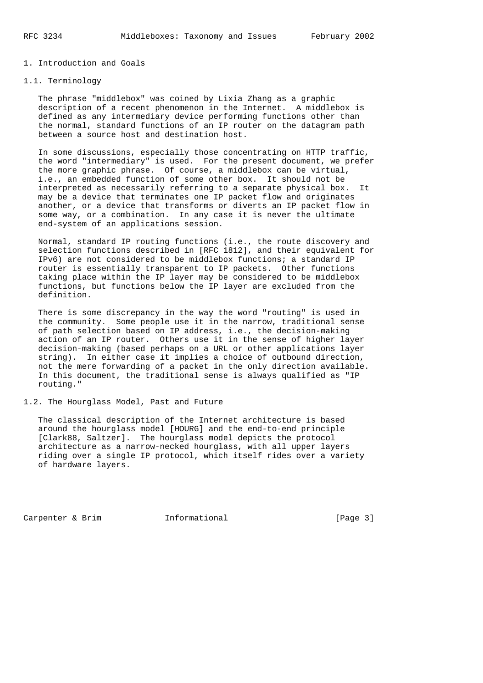# 1. Introduction and Goals

# 1.1. Terminology

 The phrase "middlebox" was coined by Lixia Zhang as a graphic description of a recent phenomenon in the Internet. A middlebox is defined as any intermediary device performing functions other than the normal, standard functions of an IP router on the datagram path between a source host and destination host.

 In some discussions, especially those concentrating on HTTP traffic, the word "intermediary" is used. For the present document, we prefer the more graphic phrase. Of course, a middlebox can be virtual, i.e., an embedded function of some other box. It should not be interpreted as necessarily referring to a separate physical box. It may be a device that terminates one IP packet flow and originates another, or a device that transforms or diverts an IP packet flow in some way, or a combination. In any case it is never the ultimate end-system of an applications session.

 Normal, standard IP routing functions (i.e., the route discovery and selection functions described in [RFC 1812], and their equivalent for IPv6) are not considered to be middlebox functions; a standard IP router is essentially transparent to IP packets. Other functions taking place within the IP layer may be considered to be middlebox functions, but functions below the IP layer are excluded from the definition.

 There is some discrepancy in the way the word "routing" is used in the community. Some people use it in the narrow, traditional sense of path selection based on IP address, i.e., the decision-making action of an IP router. Others use it in the sense of higher layer decision-making (based perhaps on a URL or other applications layer string). In either case it implies a choice of outbound direction, not the mere forwarding of a packet in the only direction available. In this document, the traditional sense is always qualified as "IP routing."

1.2. The Hourglass Model, Past and Future

 The classical description of the Internet architecture is based around the hourglass model [HOURG] and the end-to-end principle [Clark88, Saltzer]. The hourglass model depicts the protocol architecture as a narrow-necked hourglass, with all upper layers riding over a single IP protocol, which itself rides over a variety of hardware layers.

Carpenter & Brim Tnformational [Page 3]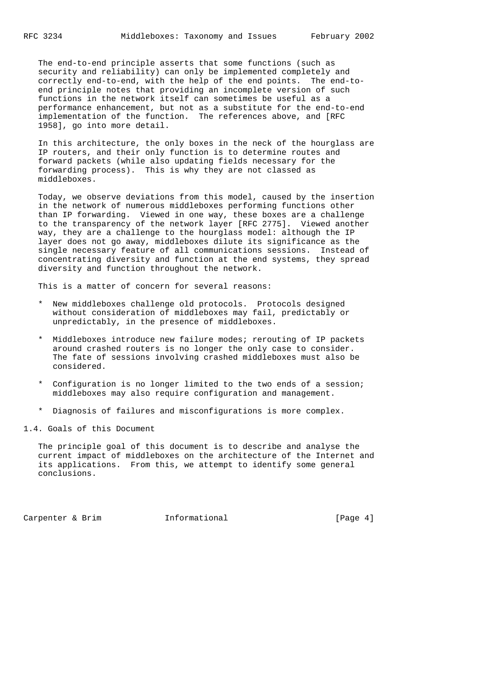The end-to-end principle asserts that some functions (such as security and reliability) can only be implemented completely and correctly end-to-end, with the help of the end points. The end-to end principle notes that providing an incomplete version of such functions in the network itself can sometimes be useful as a performance enhancement, but not as a substitute for the end-to-end implementation of the function. The references above, and [RFC 1958], go into more detail.

 In this architecture, the only boxes in the neck of the hourglass are IP routers, and their only function is to determine routes and forward packets (while also updating fields necessary for the forwarding process). This is why they are not classed as middleboxes.

 Today, we observe deviations from this model, caused by the insertion in the network of numerous middleboxes performing functions other than IP forwarding. Viewed in one way, these boxes are a challenge to the transparency of the network layer [RFC 2775]. Viewed another way, they are a challenge to the hourglass model: although the IP layer does not go away, middleboxes dilute its significance as the single necessary feature of all communications sessions. Instead of concentrating diversity and function at the end systems, they spread diversity and function throughout the network.

This is a matter of concern for several reasons:

- \* New middleboxes challenge old protocols. Protocols designed without consideration of middleboxes may fail, predictably or unpredictably, in the presence of middleboxes.
- \* Middleboxes introduce new failure modes; rerouting of IP packets around crashed routers is no longer the only case to consider. The fate of sessions involving crashed middleboxes must also be considered.
- \* Configuration is no longer limited to the two ends of a session; middleboxes may also require configuration and management.
- \* Diagnosis of failures and misconfigurations is more complex.
- 1.4. Goals of this Document

 The principle goal of this document is to describe and analyse the current impact of middleboxes on the architecture of the Internet and its applications. From this, we attempt to identify some general conclusions.

Carpenter & Brim  $I_n$  Informational  $[Page 4]$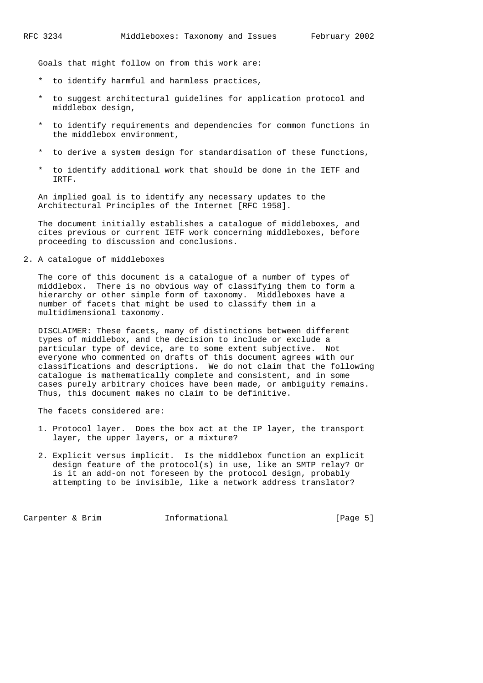Goals that might follow on from this work are:

- \* to identify harmful and harmless practices,
- \* to suggest architectural guidelines for application protocol and middlebox design,
- \* to identify requirements and dependencies for common functions in the middlebox environment,
- to derive a system design for standardisation of these functions,
- \* to identify additional work that should be done in the IETF and IRTF.

 An implied goal is to identify any necessary updates to the Architectural Principles of the Internet [RFC 1958].

 The document initially establishes a catalogue of middleboxes, and cites previous or current IETF work concerning middleboxes, before proceeding to discussion and conclusions.

2. A catalogue of middleboxes

 The core of this document is a catalogue of a number of types of middlebox. There is no obvious way of classifying them to form a hierarchy or other simple form of taxonomy. Middleboxes have a number of facets that might be used to classify them in a multidimensional taxonomy.

 DISCLAIMER: These facets, many of distinctions between different types of middlebox, and the decision to include or exclude a particular type of device, are to some extent subjective. Not everyone who commented on drafts of this document agrees with our classifications and descriptions. We do not claim that the following catalogue is mathematically complete and consistent, and in some cases purely arbitrary choices have been made, or ambiguity remains. Thus, this document makes no claim to be definitive.

The facets considered are:

- 1. Protocol layer. Does the box act at the IP layer, the transport layer, the upper layers, or a mixture?
- 2. Explicit versus implicit. Is the middlebox function an explicit design feature of the protocol(s) in use, like an SMTP relay? Or is it an add-on not foreseen by the protocol design, probably attempting to be invisible, like a network address translator?

Carpenter & Brim Tnformational (Page 5)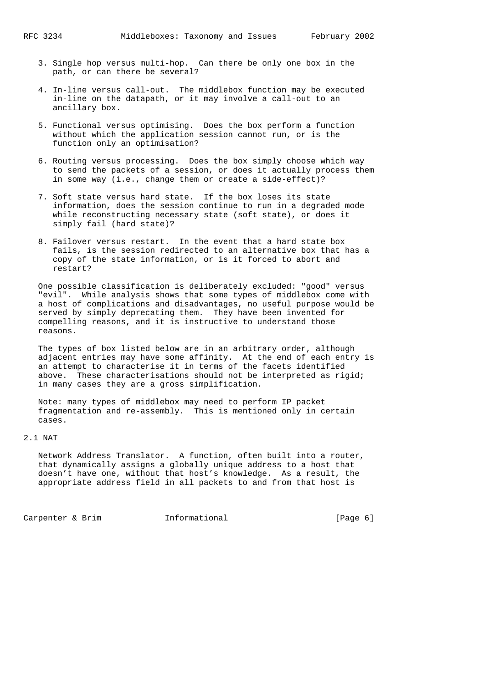- 3. Single hop versus multi-hop. Can there be only one box in the path, or can there be several?
- 4. In-line versus call-out. The middlebox function may be executed in-line on the datapath, or it may involve a call-out to an ancillary box.
- 5. Functional versus optimising. Does the box perform a function without which the application session cannot run, or is the function only an optimisation?
- 6. Routing versus processing. Does the box simply choose which way to send the packets of a session, or does it actually process them in some way (i.e., change them or create a side-effect)?
- 7. Soft state versus hard state. If the box loses its state information, does the session continue to run in a degraded mode while reconstructing necessary state (soft state), or does it simply fail (hard state)?
- 8. Failover versus restart. In the event that a hard state box fails, is the session redirected to an alternative box that has a copy of the state information, or is it forced to abort and restart?

 One possible classification is deliberately excluded: "good" versus "evil". While analysis shows that some types of middlebox come with a host of complications and disadvantages, no useful purpose would be served by simply deprecating them. They have been invented for compelling reasons, and it is instructive to understand those reasons.

 The types of box listed below are in an arbitrary order, although adjacent entries may have some affinity. At the end of each entry is an attempt to characterise it in terms of the facets identified above. These characterisations should not be interpreted as rigid; in many cases they are a gross simplification.

 Note: many types of middlebox may need to perform IP packet fragmentation and re-assembly. This is mentioned only in certain cases.

2.1 NAT

 Network Address Translator. A function, often built into a router, that dynamically assigns a globally unique address to a host that doesn't have one, without that host's knowledge. As a result, the appropriate address field in all packets to and from that host is

Carpenter & Brim **Informational** [Page 6]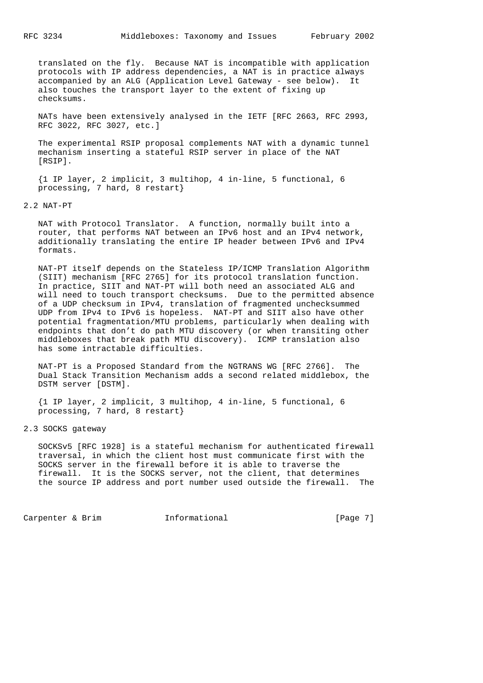translated on the fly. Because NAT is incompatible with application protocols with IP address dependencies, a NAT is in practice always accompanied by an ALG (Application Level Gateway - see below). It also touches the transport layer to the extent of fixing up checksums.

 NATs have been extensively analysed in the IETF [RFC 2663, RFC 2993, RFC 3022, RFC 3027, etc.]

 The experimental RSIP proposal complements NAT with a dynamic tunnel mechanism inserting a stateful RSIP server in place of the NAT [RSIP].

 {1 IP layer, 2 implicit, 3 multihop, 4 in-line, 5 functional, 6 processing, 7 hard, 8 restart}

2.2 NAT-PT

 NAT with Protocol Translator. A function, normally built into a router, that performs NAT between an IPv6 host and an IPv4 network, additionally translating the entire IP header between IPv6 and IPv4 formats.

 NAT-PT itself depends on the Stateless IP/ICMP Translation Algorithm (SIIT) mechanism [RFC 2765] for its protocol translation function. In practice, SIIT and NAT-PT will both need an associated ALG and will need to touch transport checksums. Due to the permitted absence of a UDP checksum in IPv4, translation of fragmented unchecksummed UDP from IPv4 to IPv6 is hopeless. NAT-PT and SIIT also have other potential fragmentation/MTU problems, particularly when dealing with endpoints that don't do path MTU discovery (or when transiting other middleboxes that break path MTU discovery). ICMP translation also has some intractable difficulties.

 NAT-PT is a Proposed Standard from the NGTRANS WG [RFC 2766]. The Dual Stack Transition Mechanism adds a second related middlebox, the DSTM server [DSTM].

 {1 IP layer, 2 implicit, 3 multihop, 4 in-line, 5 functional, 6 processing, 7 hard, 8 restart}

2.3 SOCKS gateway

 SOCKSv5 [RFC 1928] is a stateful mechanism for authenticated firewall traversal, in which the client host must communicate first with the SOCKS server in the firewall before it is able to traverse the firewall. It is the SOCKS server, not the client, that determines the source IP address and port number used outside the firewall. The

Carpenter & Brim **Informational** [Page 7]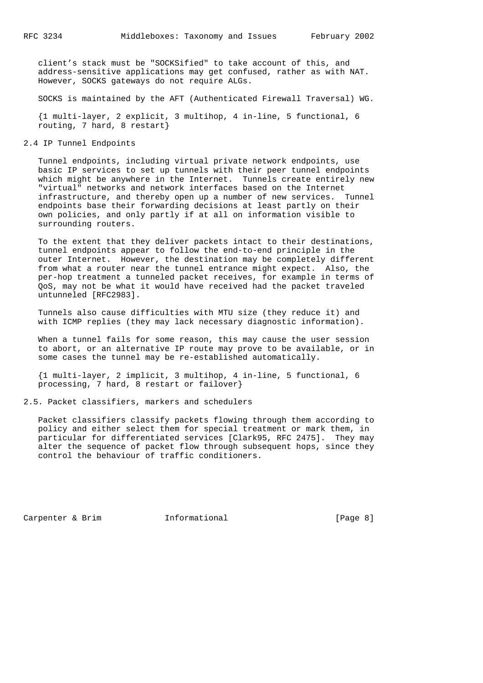client's stack must be "SOCKSified" to take account of this, and address-sensitive applications may get confused, rather as with NAT. However, SOCKS gateways do not require ALGs.

SOCKS is maintained by the AFT (Authenticated Firewall Traversal) WG.

 {1 multi-layer, 2 explicit, 3 multihop, 4 in-line, 5 functional, 6 routing, 7 hard, 8 restart}

2.4 IP Tunnel Endpoints

 Tunnel endpoints, including virtual private network endpoints, use basic IP services to set up tunnels with their peer tunnel endpoints which might be anywhere in the Internet. Tunnels create entirely new "virtual" networks and network interfaces based on the Internet infrastructure, and thereby open up a number of new services. Tunnel endpoints base their forwarding decisions at least partly on their own policies, and only partly if at all on information visible to surrounding routers.

 To the extent that they deliver packets intact to their destinations, tunnel endpoints appear to follow the end-to-end principle in the outer Internet. However, the destination may be completely different from what a router near the tunnel entrance might expect. Also, the per-hop treatment a tunneled packet receives, for example in terms of QoS, may not be what it would have received had the packet traveled untunneled [RFC2983].

 Tunnels also cause difficulties with MTU size (they reduce it) and with ICMP replies (they may lack necessary diagnostic information).

When a tunnel fails for some reason, this may cause the user session to abort, or an alternative IP route may prove to be available, or in some cases the tunnel may be re-established automatically.

 {1 multi-layer, 2 implicit, 3 multihop, 4 in-line, 5 functional, 6 processing, 7 hard, 8 restart or failover}

2.5. Packet classifiers, markers and schedulers

 Packet classifiers classify packets flowing through them according to policy and either select them for special treatment or mark them, in particular for differentiated services [Clark95, RFC 2475]. They may alter the sequence of packet flow through subsequent hops, since they control the behaviour of traffic conditioners.

Carpenter & Brim Tnformational [Page 8]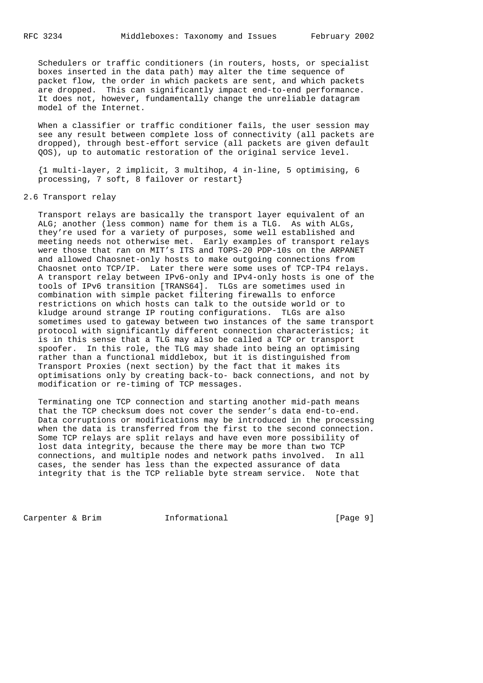Schedulers or traffic conditioners (in routers, hosts, or specialist boxes inserted in the data path) may alter the time sequence of packet flow, the order in which packets are sent, and which packets are dropped. This can significantly impact end-to-end performance. It does not, however, fundamentally change the unreliable datagram model of the Internet.

 When a classifier or traffic conditioner fails, the user session may see any result between complete loss of connectivity (all packets are dropped), through best-effort service (all packets are given default QOS), up to automatic restoration of the original service level.

 {1 multi-layer, 2 implicit, 3 multihop, 4 in-line, 5 optimising, 6 processing, 7 soft, 8 failover or restart}

# 2.6 Transport relay

 Transport relays are basically the transport layer equivalent of an ALG; another (less common) name for them is a TLG. As with ALGs, they're used for a variety of purposes, some well established and meeting needs not otherwise met. Early examples of transport relays were those that ran on MIT's ITS and TOPS-20 PDP-10s on the ARPANET and allowed Chaosnet-only hosts to make outgoing connections from Chaosnet onto TCP/IP. Later there were some uses of TCP-TP4 relays. A transport relay between IPv6-only and IPv4-only hosts is one of the tools of IPv6 transition [TRANS64]. TLGs are sometimes used in combination with simple packet filtering firewalls to enforce restrictions on which hosts can talk to the outside world or to kludge around strange IP routing configurations. TLGs are also sometimes used to gateway between two instances of the same transport protocol with significantly different connection characteristics; it is in this sense that a TLG may also be called a TCP or transport spoofer. In this role, the TLG may shade into being an optimising rather than a functional middlebox, but it is distinguished from Transport Proxies (next section) by the fact that it makes its optimisations only by creating back-to- back connections, and not by modification or re-timing of TCP messages.

 Terminating one TCP connection and starting another mid-path means that the TCP checksum does not cover the sender's data end-to-end. Data corruptions or modifications may be introduced in the processing when the data is transferred from the first to the second connection. Some TCP relays are split relays and have even more possibility of lost data integrity, because the there may be more than two TCP connections, and multiple nodes and network paths involved. In all cases, the sender has less than the expected assurance of data integrity that is the TCP reliable byte stream service. Note that

Carpenter & Brim **Informational** [Page 9]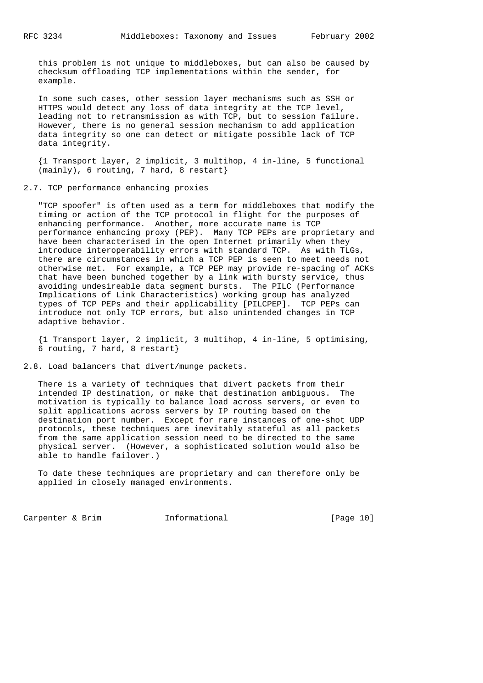this problem is not unique to middleboxes, but can also be caused by checksum offloading TCP implementations within the sender, for example.

 In some such cases, other session layer mechanisms such as SSH or HTTPS would detect any loss of data integrity at the TCP level, leading not to retransmission as with TCP, but to session failure. However, there is no general session mechanism to add application data integrity so one can detect or mitigate possible lack of TCP data integrity.

 {1 Transport layer, 2 implicit, 3 multihop, 4 in-line, 5 functional (mainly), 6 routing, 7 hard, 8 restart}

2.7. TCP performance enhancing proxies

 "TCP spoofer" is often used as a term for middleboxes that modify the timing or action of the TCP protocol in flight for the purposes of enhancing performance. Another, more accurate name is TCP performance enhancing proxy (PEP). Many TCP PEPs are proprietary and have been characterised in the open Internet primarily when they introduce interoperability errors with standard TCP. As with TLGs, there are circumstances in which a TCP PEP is seen to meet needs not otherwise met. For example, a TCP PEP may provide re-spacing of ACKs that have been bunched together by a link with bursty service, thus avoiding undesireable data segment bursts. The PILC (Performance Implications of Link Characteristics) working group has analyzed types of TCP PEPs and their applicability [PILCPEP]. TCP PEPs can introduce not only TCP errors, but also unintended changes in TCP adaptive behavior.

 {1 Transport layer, 2 implicit, 3 multihop, 4 in-line, 5 optimising, 6 routing, 7 hard, 8 restart}

2.8. Load balancers that divert/munge packets.

 There is a variety of techniques that divert packets from their intended IP destination, or make that destination ambiguous. The motivation is typically to balance load across servers, or even to split applications across servers by IP routing based on the destination port number. Except for rare instances of one-shot UDP protocols, these techniques are inevitably stateful as all packets from the same application session need to be directed to the same physical server. (However, a sophisticated solution would also be able to handle failover.)

 To date these techniques are proprietary and can therefore only be applied in closely managed environments.

Carpenter & Brim [Page 10]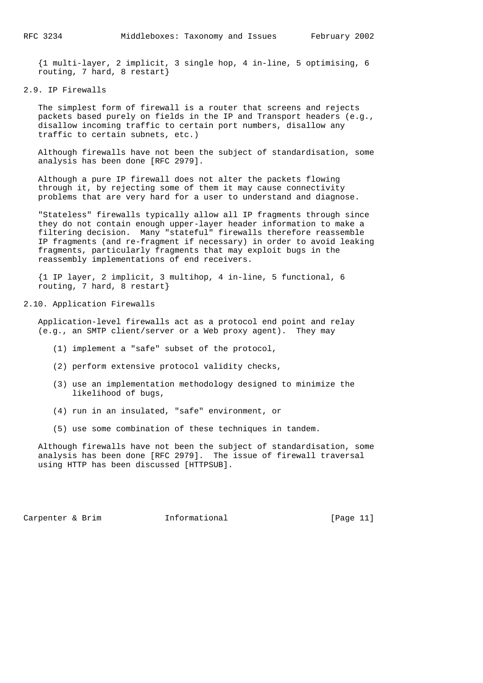{1 multi-layer, 2 implicit, 3 single hop, 4 in-line, 5 optimising, 6 routing, 7 hard, 8 restart}

### 2.9. IP Firewalls

 The simplest form of firewall is a router that screens and rejects packets based purely on fields in the IP and Transport headers (e.g., disallow incoming traffic to certain port numbers, disallow any traffic to certain subnets, etc.)

 Although firewalls have not been the subject of standardisation, some analysis has been done [RFC 2979].

 Although a pure IP firewall does not alter the packets flowing through it, by rejecting some of them it may cause connectivity problems that are very hard for a user to understand and diagnose.

 "Stateless" firewalls typically allow all IP fragments through since they do not contain enough upper-layer header information to make a filtering decision. Many "stateful" firewalls therefore reassemble IP fragments (and re-fragment if necessary) in order to avoid leaking fragments, particularly fragments that may exploit bugs in the reassembly implementations of end receivers.

 {1 IP layer, 2 implicit, 3 multihop, 4 in-line, 5 functional, 6 routing, 7 hard, 8 restart}

#### 2.10. Application Firewalls

 Application-level firewalls act as a protocol end point and relay (e.g., an SMTP client/server or a Web proxy agent). They may

- (1) implement a "safe" subset of the protocol,
- (2) perform extensive protocol validity checks,
- (3) use an implementation methodology designed to minimize the likelihood of bugs,
- (4) run in an insulated, "safe" environment, or
- (5) use some combination of these techniques in tandem.

 Although firewalls have not been the subject of standardisation, some analysis has been done [RFC 2979]. The issue of firewall traversal using HTTP has been discussed [HTTPSUB].

Carpenter & Brim  $I_n$  Informational [Page 11]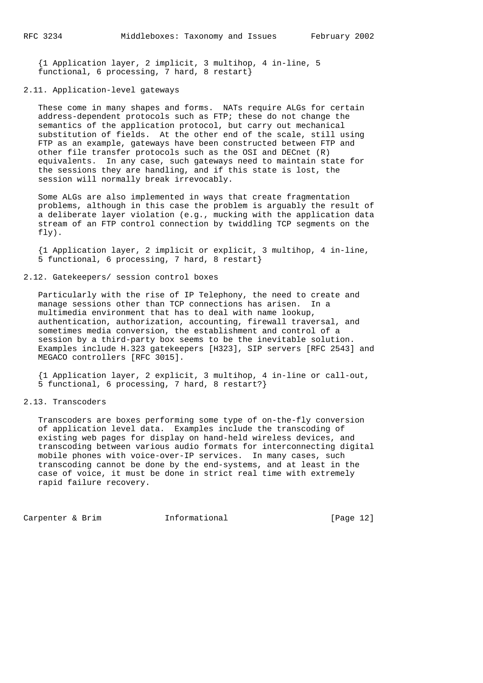{1 Application layer, 2 implicit, 3 multihop, 4 in-line, 5 functional, 6 processing, 7 hard, 8 restart}

# 2.11. Application-level gateways

 These come in many shapes and forms. NATs require ALGs for certain address-dependent protocols such as FTP; these do not change the semantics of the application protocol, but carry out mechanical substitution of fields. At the other end of the scale, still using FTP as an example, gateways have been constructed between FTP and other file transfer protocols such as the OSI and DECnet (R) equivalents. In any case, such gateways need to maintain state for the sessions they are handling, and if this state is lost, the session will normally break irrevocably.

 Some ALGs are also implemented in ways that create fragmentation problems, although in this case the problem is arguably the result of a deliberate layer violation (e.g., mucking with the application data stream of an FTP control connection by twiddling TCP segments on the fly).

 {1 Application layer, 2 implicit or explicit, 3 multihop, 4 in-line, 5 functional, 6 processing, 7 hard, 8 restart}

# 2.12. Gatekeepers/ session control boxes

 Particularly with the rise of IP Telephony, the need to create and manage sessions other than TCP connections has arisen. In a multimedia environment that has to deal with name lookup, authentication, authorization, accounting, firewall traversal, and sometimes media conversion, the establishment and control of a session by a third-party box seems to be the inevitable solution. Examples include H.323 gatekeepers [H323], SIP servers [RFC 2543] and MEGACO controllers [RFC 3015].

 {1 Application layer, 2 explicit, 3 multihop, 4 in-line or call-out, 5 functional, 6 processing, 7 hard, 8 restart?}

# 2.13. Transcoders

 Transcoders are boxes performing some type of on-the-fly conversion of application level data. Examples include the transcoding of existing web pages for display on hand-held wireless devices, and transcoding between various audio formats for interconnecting digital mobile phones with voice-over-IP services. In many cases, such transcoding cannot be done by the end-systems, and at least in the case of voice, it must be done in strict real time with extremely rapid failure recovery.

Carpenter & Brim Informational [Page 12]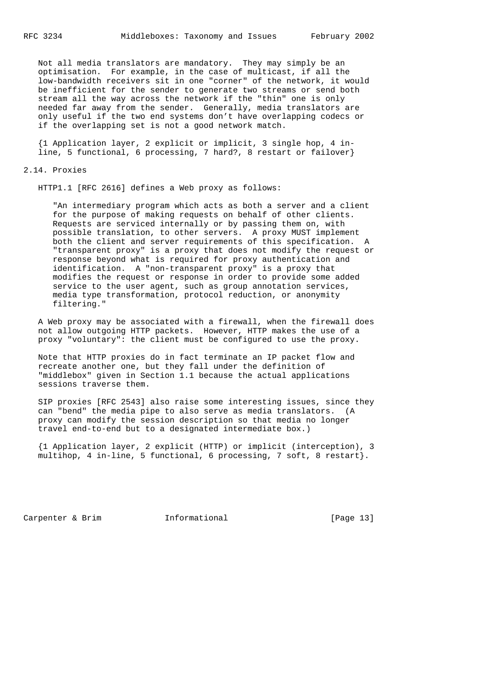Not all media translators are mandatory. They may simply be an optimisation. For example, in the case of multicast, if all the low-bandwidth receivers sit in one "corner" of the network, it would be inefficient for the sender to generate two streams or send both stream all the way across the network if the "thin" one is only needed far away from the sender. Generally, media translators are only useful if the two end systems don't have overlapping codecs or if the overlapping set is not a good network match.

 {1 Application layer, 2 explicit or implicit, 3 single hop, 4 in line, 5 functional, 6 processing, 7 hard?, 8 restart or failover}

#### 2.14. Proxies

HTTP1.1 [RFC 2616] defines a Web proxy as follows:

 "An intermediary program which acts as both a server and a client for the purpose of making requests on behalf of other clients. Requests are serviced internally or by passing them on, with possible translation, to other servers. A proxy MUST implement both the client and server requirements of this specification. A "transparent proxy" is a proxy that does not modify the request or response beyond what is required for proxy authentication and identification. A "non-transparent proxy" is a proxy that modifies the request or response in order to provide some added service to the user agent, such as group annotation services, media type transformation, protocol reduction, or anonymity filtering."

 A Web proxy may be associated with a firewall, when the firewall does not allow outgoing HTTP packets. However, HTTP makes the use of a proxy "voluntary": the client must be configured to use the proxy.

 Note that HTTP proxies do in fact terminate an IP packet flow and recreate another one, but they fall under the definition of "middlebox" given in Section 1.1 because the actual applications sessions traverse them.

 SIP proxies [RFC 2543] also raise some interesting issues, since they can "bend" the media pipe to also serve as media translators. (A proxy can modify the session description so that media no longer travel end-to-end but to a designated intermediate box.)

 {1 Application layer, 2 explicit (HTTP) or implicit (interception), 3 multihop, 4 in-line, 5 functional, 6 processing, 7 soft, 8 restart}.

Carpenter & Brim Tnformational [Page 13]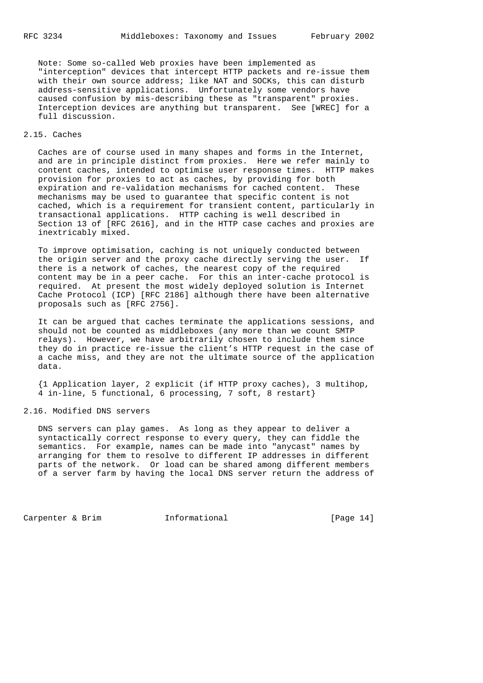Note: Some so-called Web proxies have been implemented as "interception" devices that intercept HTTP packets and re-issue them with their own source address; like NAT and SOCKs, this can disturb address-sensitive applications. Unfortunately some vendors have caused confusion by mis-describing these as "transparent" proxies. Interception devices are anything but transparent. See [WREC] for a full discussion.

# 2.15. Caches

 Caches are of course used in many shapes and forms in the Internet, and are in principle distinct from proxies. Here we refer mainly to content caches, intended to optimise user response times. HTTP makes provision for proxies to act as caches, by providing for both expiration and re-validation mechanisms for cached content. These mechanisms may be used to guarantee that specific content is not cached, which is a requirement for transient content, particularly in transactional applications. HTTP caching is well described in Section 13 of [RFC 2616], and in the HTTP case caches and proxies are inextricably mixed.

 To improve optimisation, caching is not uniquely conducted between the origin server and the proxy cache directly serving the user. If there is a network of caches, the nearest copy of the required content may be in a peer cache. For this an inter-cache protocol is required. At present the most widely deployed solution is Internet Cache Protocol (ICP) [RFC 2186] although there have been alternative proposals such as [RFC 2756].

 It can be argued that caches terminate the applications sessions, and should not be counted as middleboxes (any more than we count SMTP relays). However, we have arbitrarily chosen to include them since they do in practice re-issue the client's HTTP request in the case of a cache miss, and they are not the ultimate source of the application data.

 {1 Application layer, 2 explicit (if HTTP proxy caches), 3 multihop, 4 in-line, 5 functional, 6 processing, 7 soft, 8 restart}

# 2.16. Modified DNS servers

 DNS servers can play games. As long as they appear to deliver a syntactically correct response to every query, they can fiddle the semantics. For example, names can be made into "anycast" names by arranging for them to resolve to different IP addresses in different parts of the network. Or load can be shared among different members of a server farm by having the local DNS server return the address of

Carpenter & Brim Informational [Page 14]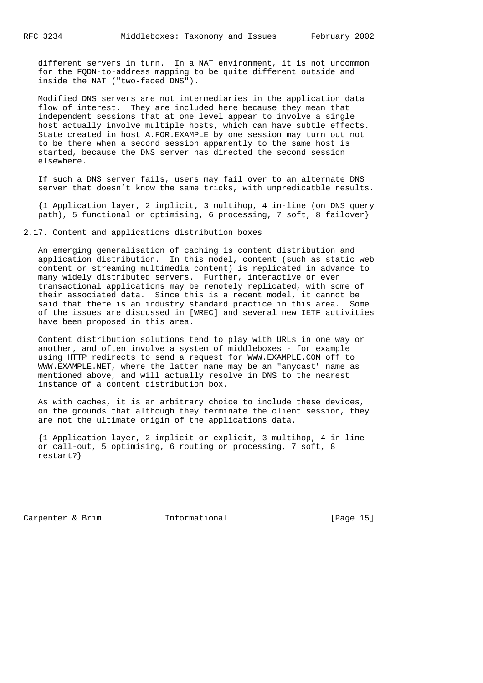different servers in turn. In a NAT environment, it is not uncommon for the FQDN-to-address mapping to be quite different outside and inside the NAT ("two-faced DNS").

 Modified DNS servers are not intermediaries in the application data flow of interest. They are included here because they mean that independent sessions that at one level appear to involve a single host actually involve multiple hosts, which can have subtle effects. State created in host A.FOR.EXAMPLE by one session may turn out not to be there when a second session apparently to the same host is started, because the DNS server has directed the second session elsewhere.

 If such a DNS server fails, users may fail over to an alternate DNS server that doesn't know the same tricks, with unpredicatble results.

 {1 Application layer, 2 implicit, 3 multihop, 4 in-line (on DNS query path), 5 functional or optimising, 6 processing, 7 soft, 8 failover}

2.17. Content and applications distribution boxes

 An emerging generalisation of caching is content distribution and application distribution. In this model, content (such as static web content or streaming multimedia content) is replicated in advance to many widely distributed servers. Further, interactive or even transactional applications may be remotely replicated, with some of their associated data. Since this is a recent model, it cannot be said that there is an industry standard practice in this area. Some of the issues are discussed in [WREC] and several new IETF activities have been proposed in this area.

 Content distribution solutions tend to play with URLs in one way or another, and often involve a system of middleboxes - for example using HTTP redirects to send a request for WWW.EXAMPLE.COM off to WWW.EXAMPLE.NET, where the latter name may be an "anycast" name as mentioned above, and will actually resolve in DNS to the nearest instance of a content distribution box.

 As with caches, it is an arbitrary choice to include these devices, on the grounds that although they terminate the client session, they are not the ultimate origin of the applications data.

 {1 Application layer, 2 implicit or explicit, 3 multihop, 4 in-line or call-out, 5 optimising, 6 routing or processing, 7 soft, 8 restart?}

Carpenter & Brim Tnformational [Page 15]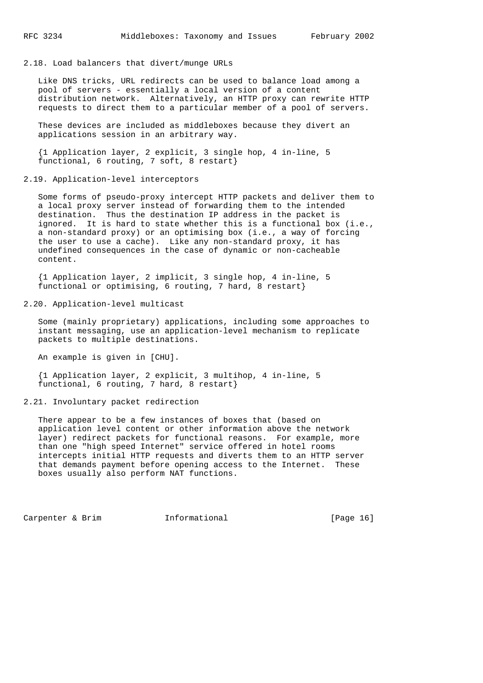# 2.18. Load balancers that divert/munge URLs

 Like DNS tricks, URL redirects can be used to balance load among a pool of servers - essentially a local version of a content distribution network. Alternatively, an HTTP proxy can rewrite HTTP requests to direct them to a particular member of a pool of servers.

 These devices are included as middleboxes because they divert an applications session in an arbitrary way.

 {1 Application layer, 2 explicit, 3 single hop, 4 in-line, 5 functional, 6 routing, 7 soft, 8 restart}

2.19. Application-level interceptors

 Some forms of pseudo-proxy intercept HTTP packets and deliver them to a local proxy server instead of forwarding them to the intended destination. Thus the destination IP address in the packet is ignored. It is hard to state whether this is a functional box (i.e., a non-standard proxy) or an optimising box (i.e., a way of forcing the user to use a cache). Like any non-standard proxy, it has undefined consequences in the case of dynamic or non-cacheable content.

 {1 Application layer, 2 implicit, 3 single hop, 4 in-line, 5 functional or optimising, 6 routing, 7 hard, 8 restart}

#### 2.20. Application-level multicast

 Some (mainly proprietary) applications, including some approaches to instant messaging, use an application-level mechanism to replicate packets to multiple destinations.

An example is given in [CHU].

 {1 Application layer, 2 explicit, 3 multihop, 4 in-line, 5 functional, 6 routing, 7 hard, 8 restart}

2.21. Involuntary packet redirection

 There appear to be a few instances of boxes that (based on application level content or other information above the network layer) redirect packets for functional reasons. For example, more than one "high speed Internet" service offered in hotel rooms intercepts initial HTTP requests and diverts them to an HTTP server that demands payment before opening access to the Internet. These boxes usually also perform NAT functions.

Carpenter & Brim **Informational** [Page 16]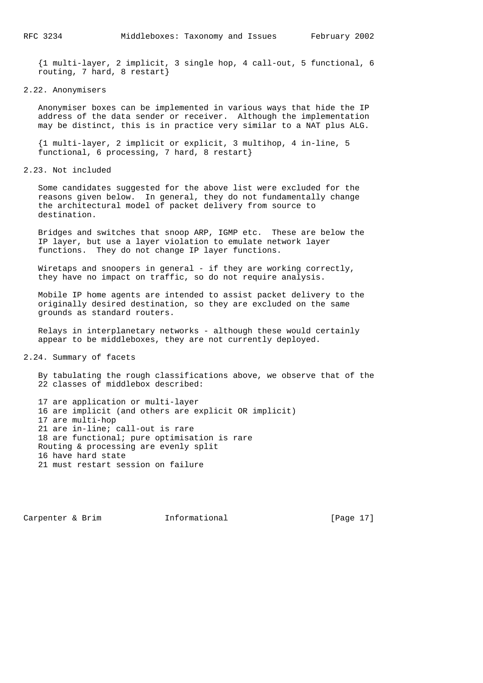{1 multi-layer, 2 implicit, 3 single hop, 4 call-out, 5 functional, 6 routing, 7 hard, 8 restart}

#### 2.22. Anonymisers

 Anonymiser boxes can be implemented in various ways that hide the IP address of the data sender or receiver. Although the implementation may be distinct, this is in practice very similar to a NAT plus ALG.

 {1 multi-layer, 2 implicit or explicit, 3 multihop, 4 in-line, 5 functional, 6 processing, 7 hard, 8 restart}

2.23. Not included

 Some candidates suggested for the above list were excluded for the reasons given below. In general, they do not fundamentally change the architectural model of packet delivery from source to destination.

 Bridges and switches that snoop ARP, IGMP etc. These are below the IP layer, but use a layer violation to emulate network layer functions. They do not change IP layer functions.

 Wiretaps and snoopers in general - if they are working correctly, they have no impact on traffic, so do not require analysis.

 Mobile IP home agents are intended to assist packet delivery to the originally desired destination, so they are excluded on the same grounds as standard routers.

 Relays in interplanetary networks - although these would certainly appear to be middleboxes, they are not currently deployed.

2.24. Summary of facets

 By tabulating the rough classifications above, we observe that of the 22 classes of middlebox described:

 17 are application or multi-layer 16 are implicit (and others are explicit OR implicit) 17 are multi-hop 21 are in-line; call-out is rare 18 are functional; pure optimisation is rare Routing & processing are evenly split 16 have hard state 21 must restart session on failure

Carpenter & Brim  $I_n$  Informational [Page 17]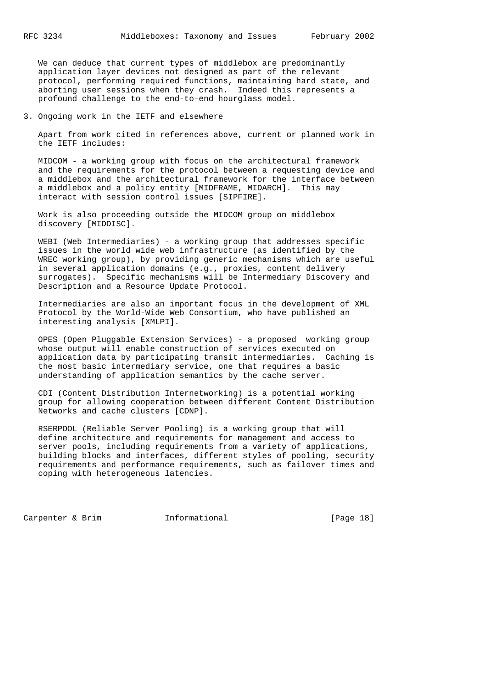We can deduce that current types of middlebox are predominantly application layer devices not designed as part of the relevant protocol, performing required functions, maintaining hard state, and aborting user sessions when they crash. Indeed this represents a profound challenge to the end-to-end hourglass model.

3. Ongoing work in the IETF and elsewhere

 Apart from work cited in references above, current or planned work in the IETF includes:

 MIDCOM - a working group with focus on the architectural framework and the requirements for the protocol between a requesting device and a middlebox and the architectural framework for the interface between a middlebox and a policy entity [MIDFRAME, MIDARCH]. This may interact with session control issues [SIPFIRE].

 Work is also proceeding outside the MIDCOM group on middlebox discovery [MIDDISC].

WEBI (Web Intermediaries) - a working group that addresses specific issues in the world wide web infrastructure (as identified by the WREC working group), by providing generic mechanisms which are useful in several application domains (e.g., proxies, content delivery surrogates). Specific mechanisms will be Intermediary Discovery and Description and a Resource Update Protocol.

 Intermediaries are also an important focus in the development of XML Protocol by the World-Wide Web Consortium, who have published an interesting analysis [XMLPI].

 OPES (Open Pluggable Extension Services) - a proposed working group whose output will enable construction of services executed on application data by participating transit intermediaries. Caching is the most basic intermediary service, one that requires a basic understanding of application semantics by the cache server.

 CDI (Content Distribution Internetworking) is a potential working group for allowing cooperation between different Content Distribution Networks and cache clusters [CDNP].

 RSERPOOL (Reliable Server Pooling) is a working group that will define architecture and requirements for management and access to server pools, including requirements from a variety of applications, building blocks and interfaces, different styles of pooling, security requirements and performance requirements, such as failover times and coping with heterogeneous latencies.

Carpenter & Brim Tnformational [Page 18]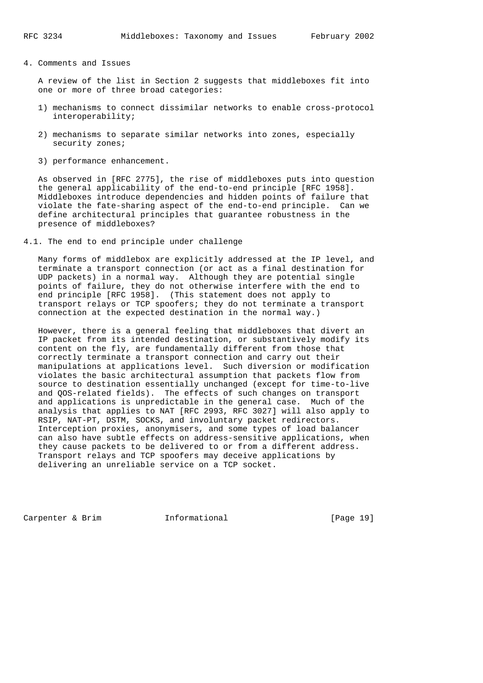4. Comments and Issues

 A review of the list in Section 2 suggests that middleboxes fit into one or more of three broad categories:

- 1) mechanisms to connect dissimilar networks to enable cross-protocol interoperability;
- 2) mechanisms to separate similar networks into zones, especially security zones;
- 3) performance enhancement.

 As observed in [RFC 2775], the rise of middleboxes puts into question the general applicability of the end-to-end principle [RFC 1958]. Middleboxes introduce dependencies and hidden points of failure that violate the fate-sharing aspect of the end-to-end principle. Can we define architectural principles that guarantee robustness in the presence of middleboxes?

4.1. The end to end principle under challenge

 Many forms of middlebox are explicitly addressed at the IP level, and terminate a transport connection (or act as a final destination for UDP packets) in a normal way. Although they are potential single points of failure, they do not otherwise interfere with the end to end principle [RFC 1958]. (This statement does not apply to transport relays or TCP spoofers; they do not terminate a transport connection at the expected destination in the normal way.)

 However, there is a general feeling that middleboxes that divert an IP packet from its intended destination, or substantively modify its content on the fly, are fundamentally different from those that correctly terminate a transport connection and carry out their manipulations at applications level. Such diversion or modification violates the basic architectural assumption that packets flow from source to destination essentially unchanged (except for time-to-live and QOS-related fields). The effects of such changes on transport and applications is unpredictable in the general case. Much of the analysis that applies to NAT [RFC 2993, RFC 3027] will also apply to RSIP, NAT-PT, DSTM, SOCKS, and involuntary packet redirectors. Interception proxies, anonymisers, and some types of load balancer can also have subtle effects on address-sensitive applications, when they cause packets to be delivered to or from a different address. Transport relays and TCP spoofers may deceive applications by delivering an unreliable service on a TCP socket.

Carpenter & Brim Tnformational [Page 19]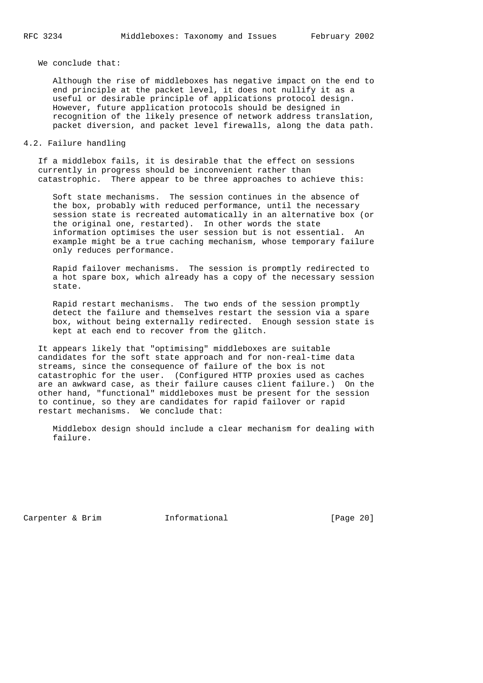We conclude that:

 Although the rise of middleboxes has negative impact on the end to end principle at the packet level, it does not nullify it as a useful or desirable principle of applications protocol design. However, future application protocols should be designed in recognition of the likely presence of network address translation, packet diversion, and packet level firewalls, along the data path.

# 4.2. Failure handling

 If a middlebox fails, it is desirable that the effect on sessions currently in progress should be inconvenient rather than catastrophic. There appear to be three approaches to achieve this:

 Soft state mechanisms. The session continues in the absence of the box, probably with reduced performance, until the necessary session state is recreated automatically in an alternative box (or the original one, restarted). In other words the state information optimises the user session but is not essential. An example might be a true caching mechanism, whose temporary failure only reduces performance.

 Rapid failover mechanisms. The session is promptly redirected to a hot spare box, which already has a copy of the necessary session state.

 Rapid restart mechanisms. The two ends of the session promptly detect the failure and themselves restart the session via a spare box, without being externally redirected. Enough session state is kept at each end to recover from the glitch.

 It appears likely that "optimising" middleboxes are suitable candidates for the soft state approach and for non-real-time data streams, since the consequence of failure of the box is not catastrophic for the user. (Configured HTTP proxies used as caches are an awkward case, as their failure causes client failure.) On the other hand, "functional" middleboxes must be present for the session to continue, so they are candidates for rapid failover or rapid restart mechanisms. We conclude that:

 Middlebox design should include a clear mechanism for dealing with failure.

Carpenter & Brim Tnformational [Page 20]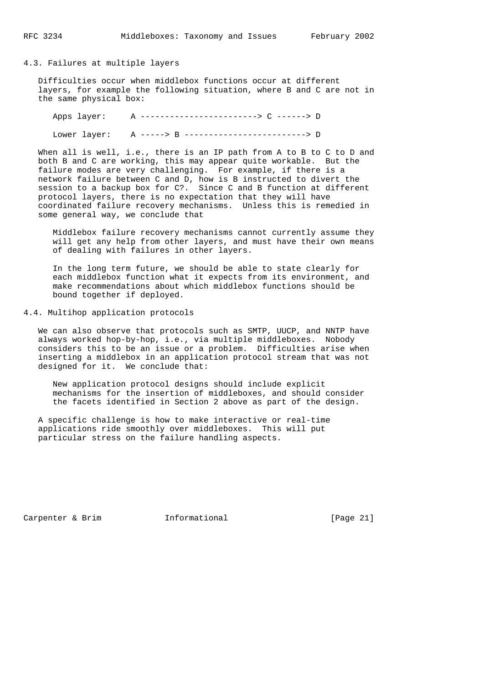### 4.3. Failures at multiple layers

 Difficulties occur when middlebox functions occur at different layers, for example the following situation, where B and C are not in the same physical box:

 Apps layer: A ------------------------> C ------> D Lower layer: A -----> B -------------------------> D

When all is well, i.e., there is an IP path from A to B to C to D and both B and C are working, this may appear quite workable. But the failure modes are very challenging. For example, if there is a network failure between C and D, how is B instructed to divert the session to a backup box for C?. Since C and B function at different protocol layers, there is no expectation that they will have coordinated failure recovery mechanisms. Unless this is remedied in some general way, we conclude that

 Middlebox failure recovery mechanisms cannot currently assume they will get any help from other layers, and must have their own means of dealing with failures in other layers.

 In the long term future, we should be able to state clearly for each middlebox function what it expects from its environment, and make recommendations about which middlebox functions should be bound together if deployed.

4.4. Multihop application protocols

 We can also observe that protocols such as SMTP, UUCP, and NNTP have always worked hop-by-hop, i.e., via multiple middleboxes. Nobody considers this to be an issue or a problem. Difficulties arise when inserting a middlebox in an application protocol stream that was not designed for it. We conclude that:

 New application protocol designs should include explicit mechanisms for the insertion of middleboxes, and should consider the facets identified in Section 2 above as part of the design.

 A specific challenge is how to make interactive or real-time applications ride smoothly over middleboxes. This will put particular stress on the failure handling aspects.

Carpenter & Brim Tnformational [Page 21]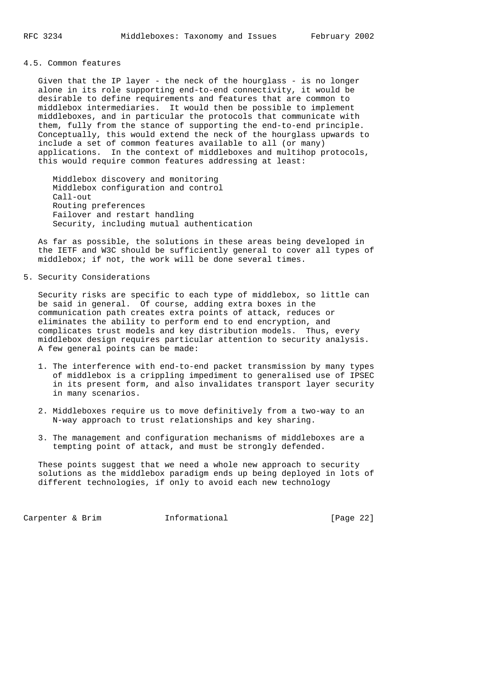### 4.5. Common features

 Given that the IP layer - the neck of the hourglass - is no longer alone in its role supporting end-to-end connectivity, it would be desirable to define requirements and features that are common to middlebox intermediaries. It would then be possible to implement middleboxes, and in particular the protocols that communicate with them, fully from the stance of supporting the end-to-end principle. Conceptually, this would extend the neck of the hourglass upwards to include a set of common features available to all (or many) applications. In the context of middleboxes and multihop protocols, this would require common features addressing at least:

 Middlebox discovery and monitoring Middlebox configuration and control Call-out Routing preferences Failover and restart handling Security, including mutual authentication

 As far as possible, the solutions in these areas being developed in the IETF and W3C should be sufficiently general to cover all types of middlebox; if not, the work will be done several times.

### 5. Security Considerations

 Security risks are specific to each type of middlebox, so little can be said in general. Of course, adding extra boxes in the communication path creates extra points of attack, reduces or eliminates the ability to perform end to end encryption, and complicates trust models and key distribution models. Thus, every middlebox design requires particular attention to security analysis. A few general points can be made:

- 1. The interference with end-to-end packet transmission by many types of middlebox is a crippling impediment to generalised use of IPSEC in its present form, and also invalidates transport layer security in many scenarios.
- 2. Middleboxes require us to move definitively from a two-way to an N-way approach to trust relationships and key sharing.
- 3. The management and configuration mechanisms of middleboxes are a tempting point of attack, and must be strongly defended.

 These points suggest that we need a whole new approach to security solutions as the middlebox paradigm ends up being deployed in lots of different technologies, if only to avoid each new technology

Carpenter & Brim **Informational** [Page 22]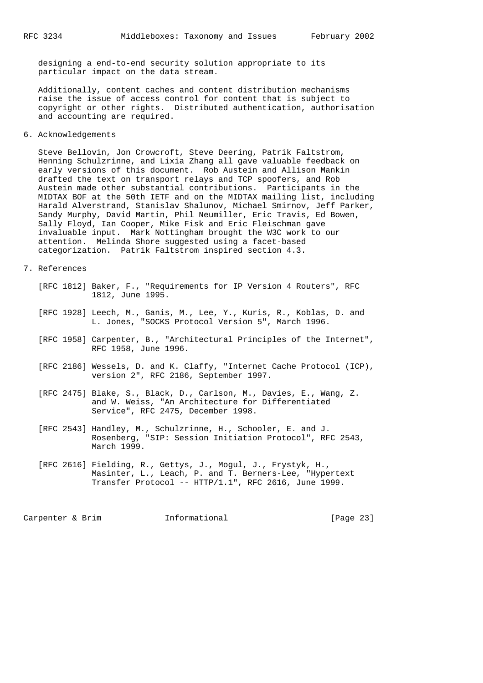designing a end-to-end security solution appropriate to its particular impact on the data stream.

 Additionally, content caches and content distribution mechanisms raise the issue of access control for content that is subject to copyright or other rights. Distributed authentication, authorisation and accounting are required.

6. Acknowledgements

 Steve Bellovin, Jon Crowcroft, Steve Deering, Patrik Faltstrom, Henning Schulzrinne, and Lixia Zhang all gave valuable feedback on early versions of this document. Rob Austein and Allison Mankin drafted the text on transport relays and TCP spoofers, and Rob Austein made other substantial contributions. Participants in the MIDTAX BOF at the 50th IETF and on the MIDTAX mailing list, including Harald Alverstrand, Stanislav Shalunov, Michael Smirnov, Jeff Parker, Sandy Murphy, David Martin, Phil Neumiller, Eric Travis, Ed Bowen, Sally Floyd, Ian Cooper, Mike Fisk and Eric Fleischman gave invaluable input. Mark Nottingham brought the W3C work to our attention. Melinda Shore suggested using a facet-based categorization. Patrik Faltstrom inspired section 4.3.

- 7. References
- [RFC 1812] Baker, F., "Requirements for IP Version 4 Routers", RFC 1812, June 1995.
	- [RFC 1928] Leech, M., Ganis, M., Lee, Y., Kuris, R., Koblas, D. and L. Jones, "SOCKS Protocol Version 5", March 1996.
	- [RFC 1958] Carpenter, B., "Architectural Principles of the Internet", RFC 1958, June 1996.
	- [RFC 2186] Wessels, D. and K. Claffy, "Internet Cache Protocol (ICP), version 2", RFC 2186, September 1997.
	- [RFC 2475] Blake, S., Black, D., Carlson, M., Davies, E., Wang, Z. and W. Weiss, "An Architecture for Differentiated Service", RFC 2475, December 1998.
	- [RFC 2543] Handley, M., Schulzrinne, H., Schooler, E. and J. Rosenberg, "SIP: Session Initiation Protocol", RFC 2543, March 1999.
	- [RFC 2616] Fielding, R., Gettys, J., Mogul, J., Frystyk, H., Masinter, L., Leach, P. and T. Berners-Lee, "Hypertext Transfer Protocol -- HTTP/1.1", RFC 2616, June 1999.

Carpenter & Brim Informational [Page 23]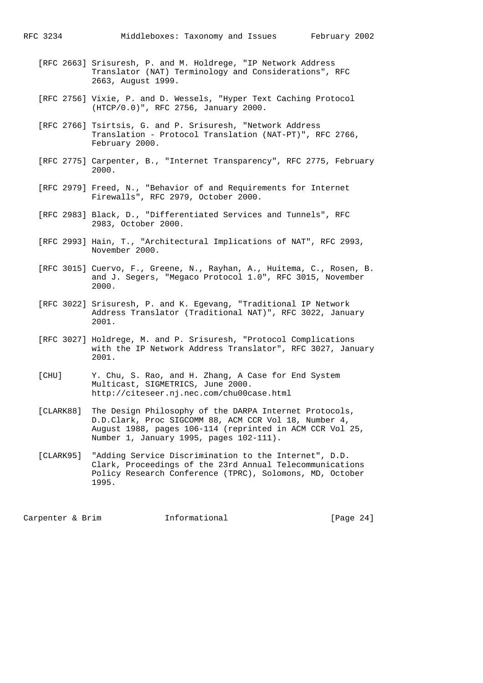- [RFC 2663] Srisuresh, P. and M. Holdrege, "IP Network Address Translator (NAT) Terminology and Considerations", RFC 2663, August 1999.
- [RFC 2756] Vixie, P. and D. Wessels, "Hyper Text Caching Protocol (HTCP/0.0)", RFC 2756, January 2000.
- [RFC 2766] Tsirtsis, G. and P. Srisuresh, "Network Address Translation - Protocol Translation (NAT-PT)", RFC 2766, February 2000.
- [RFC 2775] Carpenter, B., "Internet Transparency", RFC 2775, February 2000.
- [RFC 2979] Freed, N., "Behavior of and Requirements for Internet Firewalls", RFC 2979, October 2000.
- [RFC 2983] Black, D., "Differentiated Services and Tunnels", RFC 2983, October 2000.
- [RFC 2993] Hain, T., "Architectural Implications of NAT", RFC 2993, November 2000.
- [RFC 3015] Cuervo, F., Greene, N., Rayhan, A., Huitema, C., Rosen, B. and J. Segers, "Megaco Protocol 1.0", RFC 3015, November 2000.
- [RFC 3022] Srisuresh, P. and K. Egevang, "Traditional IP Network Address Translator (Traditional NAT)", RFC 3022, January 2001.
- [RFC 3027] Holdrege, M. and P. Srisuresh, "Protocol Complications with the IP Network Address Translator", RFC 3027, January 2001.
- [CHU] Y. Chu, S. Rao, and H. Zhang, A Case for End System Multicast, SIGMETRICS, June 2000. http://citeseer.nj.nec.com/chu00case.html
- [CLARK88] The Design Philosophy of the DARPA Internet Protocols, D.D.Clark, Proc SIGCOMM 88, ACM CCR Vol 18, Number 4, August 1988, pages 106-114 (reprinted in ACM CCR Vol 25, Number 1, January 1995, pages 102-111).
- [CLARK95] "Adding Service Discrimination to the Internet", D.D. Clark, Proceedings of the 23rd Annual Telecommunications Policy Research Conference (TPRC), Solomons, MD, October 1995.

Carpenter & Brim Tnformational [Page 24]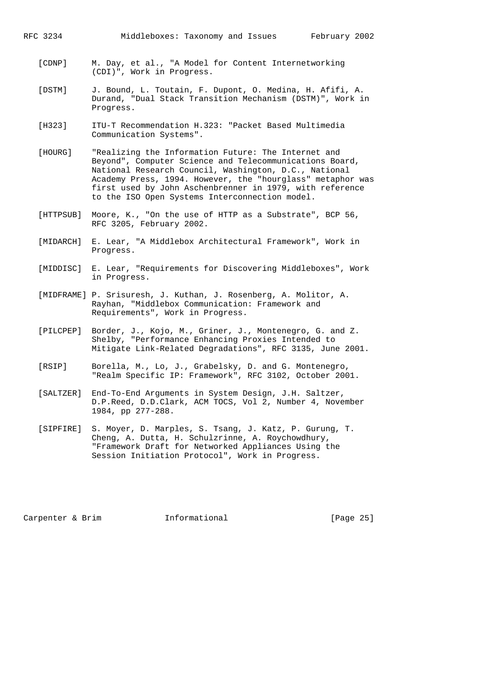- [CDNP] M. Day, et al., "A Model for Content Internetworking (CDI)", Work in Progress.
- [DSTM] J. Bound, L. Toutain, F. Dupont, O. Medina, H. Afifi, A. Durand, "Dual Stack Transition Mechanism (DSTM)", Work in Progress.
- [H323] ITU-T Recommendation H.323: "Packet Based Multimedia Communication Systems".
- [HOURG] "Realizing the Information Future: The Internet and Beyond", Computer Science and Telecommunications Board, National Research Council, Washington, D.C., National Academy Press, 1994. However, the "hourglass" metaphor was first used by John Aschenbrenner in 1979, with reference to the ISO Open Systems Interconnection model.
- [HTTPSUB] Moore, K., "On the use of HTTP as a Substrate", BCP 56, RFC 3205, February 2002.
- [MIDARCH] E. Lear, "A Middlebox Architectural Framework", Work in Progress.
- [MIDDISC] E. Lear, "Requirements for Discovering Middleboxes", Work in Progress.
- [MIDFRAME] P. Srisuresh, J. Kuthan, J. Rosenberg, A. Molitor, A. Rayhan, "Middlebox Communication: Framework and Requirements", Work in Progress.
- [PILCPEP] Border, J., Kojo, M., Griner, J., Montenegro, G. and Z. Shelby, "Performance Enhancing Proxies Intended to Mitigate Link-Related Degradations", RFC 3135, June 2001.
- [RSIP] Borella, M., Lo, J., Grabelsky, D. and G. Montenegro, "Realm Specific IP: Framework", RFC 3102, October 2001.
- [SALTZER] End-To-End Arguments in System Design, J.H. Saltzer, D.P.Reed, D.D.Clark, ACM TOCS, Vol 2, Number 4, November 1984, pp 277-288.
- [SIPFIRE] S. Moyer, D. Marples, S. Tsang, J. Katz, P. Gurung, T. Cheng, A. Dutta, H. Schulzrinne, A. Roychowdhury, "Framework Draft for Networked Appliances Using the Session Initiation Protocol", Work in Progress.

Carpenter & Brim Informational [Page 25]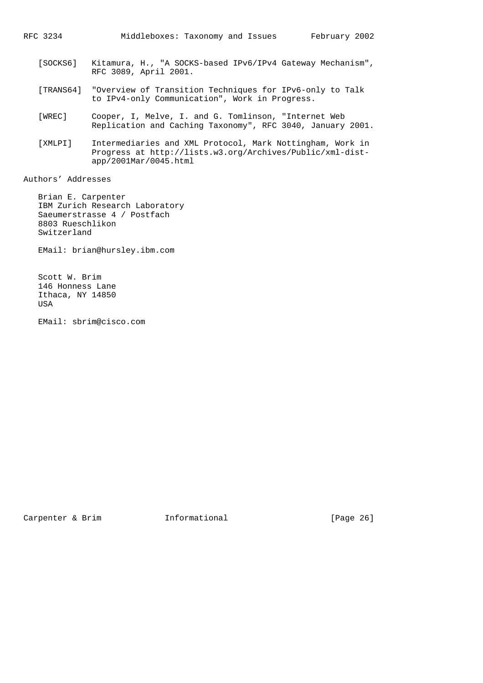- [SOCKS6] Kitamura, H., "A SOCKS-based IPv6/IPv4 Gateway Mechanism", RFC 3089, April 2001.
- [TRANS64] "Overview of Transition Techniques for IPv6-only to Talk to IPv4-only Communication", Work in Progress.
- [WREC] Cooper, I, Melve, I. and G. Tomlinson, "Internet Web Replication and Caching Taxonomy", RFC 3040, January 2001.
- [XMLPI] Intermediaries and XML Protocol, Mark Nottingham, Work in Progress at http://lists.w3.org/Archives/Public/xml-dist app/2001Mar/0045.html

Authors' Addresses

 Brian E. Carpenter IBM Zurich Research Laboratory Saeumerstrasse 4 / Postfach 8803 Rueschlikon Switzerland

EMail: brian@hursley.ibm.com

 Scott W. Brim 146 Honness Lane Ithaca, NY 14850 **TISA** 

EMail: sbrim@cisco.com

Carpenter & Brim Tnformational [Page 26]